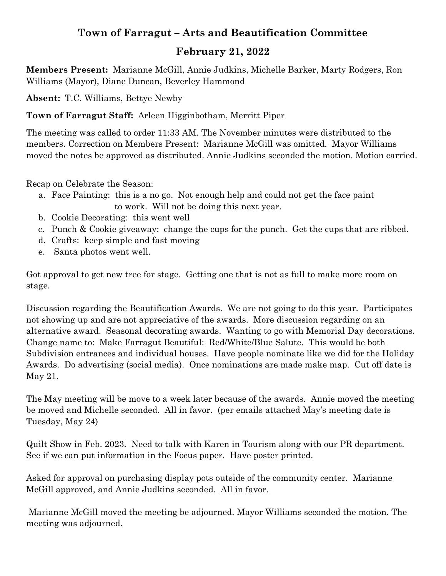## **Town of Farragut – Arts and Beautification Committee**

### **February 21, 2022**

**Members Present:** Marianne McGill, Annie Judkins, Michelle Barker, Marty Rodgers, Ron Williams (Mayor), Diane Duncan, Beverley Hammond

**Absent:** T.C. Williams, Bettye Newby

**Town of Farragut Staff:** Arleen Higginbotham, Merritt Piper

The meeting was called to order 11:33 AM. The November minutes were distributed to the members. Correction on Members Present: Marianne McGill was omitted. Mayor Williams moved the notes be approved as distributed. Annie Judkins seconded the motion. Motion carried.

Recap on Celebrate the Season:

- a. Face Painting: this is a no go. Not enough help and could not get the face paint to work. Will not be doing this next year.
- b. Cookie Decorating: this went well
- c. Punch & Cookie giveaway: change the cups for the punch. Get the cups that are ribbed.
- d. Crafts: keep simple and fast moving
- e. Santa photos went well.

Got approval to get new tree for stage. Getting one that is not as full to make more room on stage.

Discussion regarding the Beautification Awards. We are not going to do this year. Participates not showing up and are not appreciative of the awards. More discussion regarding on an alternative award. Seasonal decorating awards. Wanting to go with Memorial Day decorations. Change name to: Make Farragut Beautiful: Red/White/Blue Salute. This would be both Subdivision entrances and individual houses. Have people nominate like we did for the Holiday Awards. Do advertising (social media). Once nominations are made make map. Cut off date is May 21.

The May meeting will be move to a week later because of the awards. Annie moved the meeting be moved and Michelle seconded. All in favor. (per emails attached May's meeting date is Tuesday, May 24)

Quilt Show in Feb. 2023. Need to talk with Karen in Tourism along with our PR department. See if we can put information in the Focus paper. Have poster printed.

Asked for approval on purchasing display pots outside of the community center. Marianne McGill approved, and Annie Judkins seconded. All in favor.

 Marianne McGill moved the meeting be adjourned. Mayor Williams seconded the motion. The meeting was adjourned.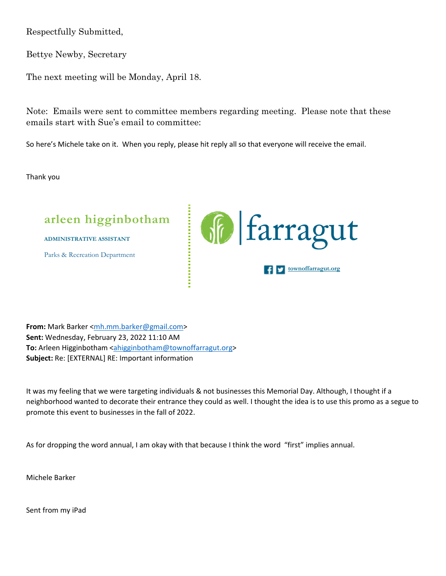Respectfully Submitted,

Bettye Newby, Secretary

The next meeting will be Monday, April 18.

Note: Emails were sent to committee members regarding meeting. Please note that these emails start with Sue's email to committee:

So here's Michele take on it. When you reply, please hit reply all so that everyone will receive the email.

Thank you



**From:** Mark Barker <mh.mm.barker@gmail.com> **Sent:** Wednesday, February 23, 2022 11:10 AM To: Arleen Higginbotham <ahigginbotham@townoffarragut.org> **Subject:** Re: [EXTERNAL] RE: Important information

It was my feeling that we were targeting individuals & not businesses this Memorial Day. Although, I thought if a neighborhood wanted to decorate their entrance they could as well. I thought the idea is to use this promo as a segue to promote this event to businesses in the fall of 2022.

As for dropping the word annual, I am okay with that because I think the word "first" implies annual.

Michele Barker

Sent from my iPad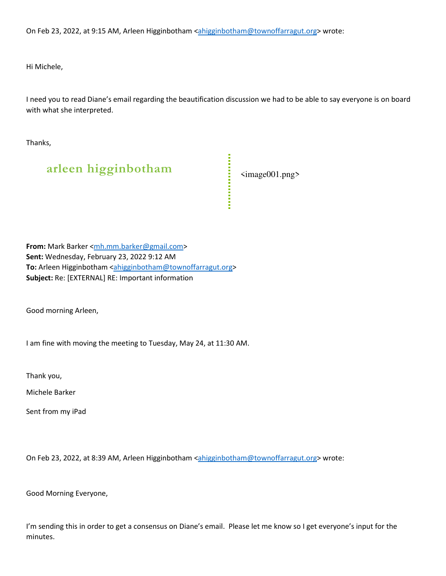On Feb 23, 2022, at 9:15 AM, Arleen Higginbotham <ahigginbotham@townoffarragut.org> wrote:

Hi Michele,

I need you to read Diane's email regarding the beautification discussion we had to be able to say everyone is on board with what she interpreted.

Thanks,

# **arleen higginbotham** <image001.png>

**From:** Mark Barker <mh.mm.barker@gmail.com> **Sent:** Wednesday, February 23, 2022 9:12 AM To: Arleen Higginbotham <ahigginbotham@townoffarragut.org> **Subject:** Re: [EXTERNAL] RE: Important information

Good morning Arleen,

I am fine with moving the meeting to Tuesday, May 24, at 11:30 AM.

Thank you,

Michele Barker

Sent from my iPad

On Feb 23, 2022, at 8:39 AM, Arleen Higginbotham <ahigginbotham@townoffarragut.org> wrote:

Good Morning Everyone,

I'm sending this in order to get a consensus on Diane's email. Please let me know so I get everyone's input for the minutes.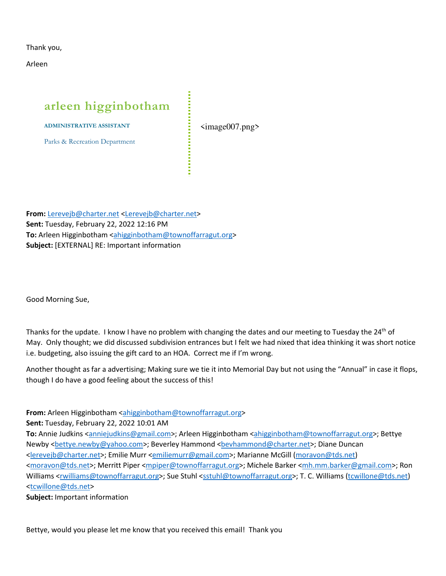Thank you,

Arleen

# **arleen higginbotham**

**ADMINISTRATIVE ASSISTANT**

Parks & Recreation Department

 $\langle \text{image}007.\text{png}\rangle$ 

**From:** Lerevejb@charter.net <Lerevejb@charter.net> **Sent:** Tuesday, February 22, 2022 12:16 PM **To:** Arleen Higginbotham <ahigginbotham@townoffarragut.org> **Subject:** [EXTERNAL] RE: Important information

Good Morning Sue,

Thanks for the update. I know I have no problem with changing the dates and our meeting to Tuesday the 24<sup>th</sup> of May. Only thought; we did discussed subdivision entrances but I felt we had nixed that idea thinking it was short notice i.e. budgeting, also issuing the gift card to an HOA. Correct me if I'm wrong.

Another thought as far a advertising; Making sure we tie it into Memorial Day but not using the "Annual" in case it flops, though I do have a good feeling about the success of this!

**From:** Arleen Higginbotham <ahigginbotham@townoffarragut.org>

**Sent:** Tuesday, February 22, 2022 10:01 AM

To: Annie Judkins <anniejudkins@gmail.com>; Arleen Higginbotham <ahigginbotham@townoffarragut.org>; Bettye Newby <bettye.newby@yahoo.com>; Beverley Hammond <bevhammond@charter.net>; Diane Duncan <lerevejb@charter.net>; Emilie Murr <emiliemurr@gmail.com>; Marianne McGill (moravon@tds.net) <moravon@tds.net>; Merritt Piper <mpiper@townoffarragut.org>; Michele Barker <mh.mm.barker@gmail.com>; Ron Williams <rwilliams@townoffarragut.org>; Sue Stuhl <sstuhl@townoffarragut.org>; T. C. Williams (tcwillone@tds.net) <tcwillone@tds.net>

**Subject:** Important information

Bettye, would you please let me know that you received this email! Thank you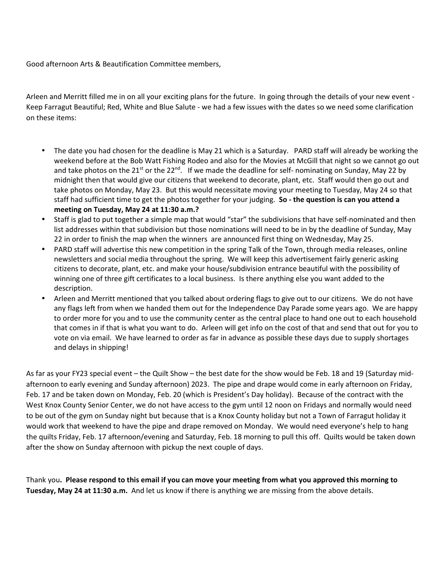Good afternoon Arts & Beautification Committee members,

Arleen and Merritt filled me in on all your exciting plans for the future. In going through the details of your new event - Keep Farragut Beautiful; Red, White and Blue Salute - we had a few issues with the dates so we need some clarification on these items:

- The date you had chosen for the deadline is May 21 which is a Saturday. PARD staff will already be working the weekend before at the Bob Watt Fishing Rodeo and also for the Movies at McGill that night so we cannot go out and take photos on the 21<sup>st</sup> or the 22<sup>nd</sup>. If we made the deadline for self- nominating on Sunday, May 22 by midnight then that would give our citizens that weekend to decorate, plant, etc. Staff would then go out and take photos on Monday, May 23. But this would necessitate moving your meeting to Tuesday, May 24 so that staff had sufficient time to get the photos together for your judging. **So - the question is can you attend a meeting on Tuesday, May 24 at 11:30 a.m.?**
- Staff is glad to put together a simple map that would "star" the subdivisions that have self-nominated and then list addresses within that subdivision but those nominations will need to be in by the deadline of Sunday, May 22 in order to finish the map when the winners are announced first thing on Wednesday, May 25.
- PARD staff will advertise this new competition in the spring Talk of the Town, through media releases, online newsletters and social media throughout the spring. We will keep this advertisement fairly generic asking citizens to decorate, plant, etc. and make your house/subdivision entrance beautiful with the possibility of winning one of three gift certificates to a local business. Is there anything else you want added to the description.
- Arleen and Merritt mentioned that you talked about ordering flags to give out to our citizens. We do not have any flags left from when we handed them out for the Independence Day Parade some years ago. We are happy to order more for you and to use the community center as the central place to hand one out to each household that comes in if that is what you want to do. Arleen will get info on the cost of that and send that out for you to vote on via email. We have learned to order as far in advance as possible these days due to supply shortages and delays in shipping!

As far as your FY23 special event – the Quilt Show – the best date for the show would be Feb. 18 and 19 (Saturday midafternoon to early evening and Sunday afternoon) 2023. The pipe and drape would come in early afternoon on Friday, Feb. 17 and be taken down on Monday, Feb. 20 (which is President's Day holiday). Because of the contract with the West Knox County Senior Center, we do not have access to the gym until 12 noon on Fridays and normally would need to be out of the gym on Sunday night but because that is a Knox County holiday but not a Town of Farragut holiday it would work that weekend to have the pipe and drape removed on Monday. We would need everyone's help to hang the quilts Friday, Feb. 17 afternoon/evening and Saturday, Feb. 18 morning to pull this off. Quilts would be taken down after the show on Sunday afternoon with pickup the next couple of days.

Thank you**. Please respond to this email if you can move your meeting from what you approved this morning to Tuesday, May 24 at 11:30 a.m.** And let us know if there is anything we are missing from the above details.